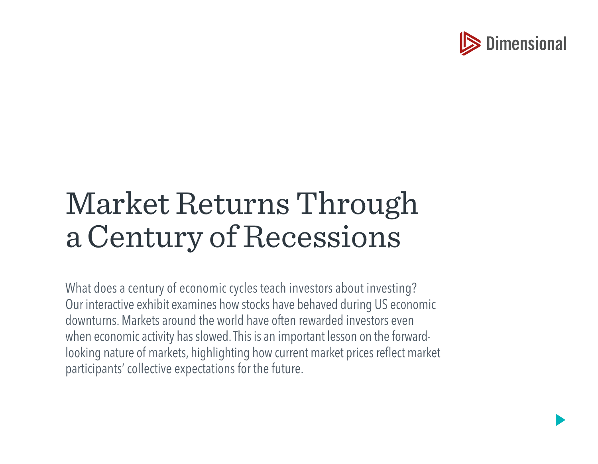

# Market Returns Through a Century of Recessions

What does a century of economic cycles teach investors about investing? Our interactive exhibit examines how stocks have behaved during US economic downturns. Markets around the world have often rewarded investors even when economic activity has slowed. This is an important lesson on the forwardlooking nature of markets, highlighting how current market prices reflect market participants' collective expectations for the future.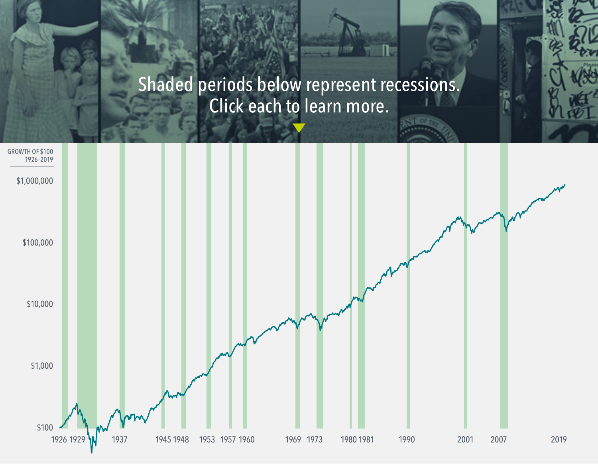# Shaded periods below represent recessions. Click each to learn more.

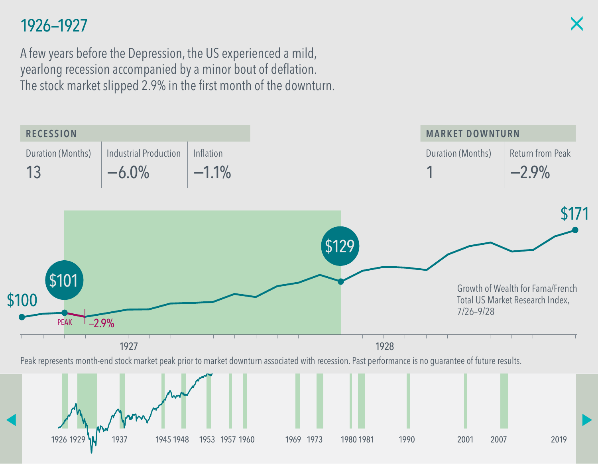A few years before the Depression, the US experienced a mild, yearlong recession accompanied by a minor bout of deflation. The stock market slipped 2.9% in the first month of the downturn.

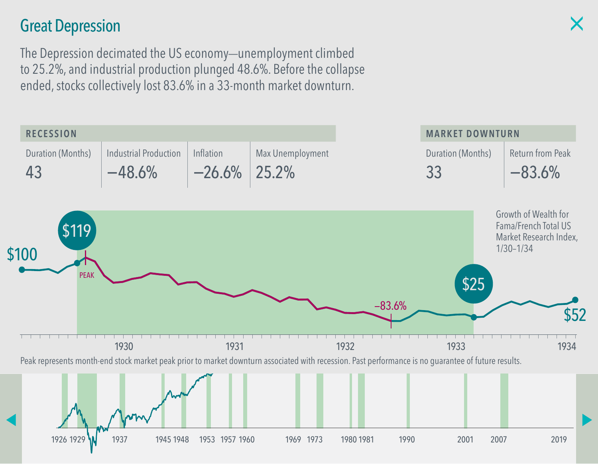### Great Depression

The Depression decimated the US economy—unemployment climbed to 25.2%, and industrial production plunged 48.6%. Before the collapse ended, stocks collectively lost 83.6% in a 33-month market downturn.

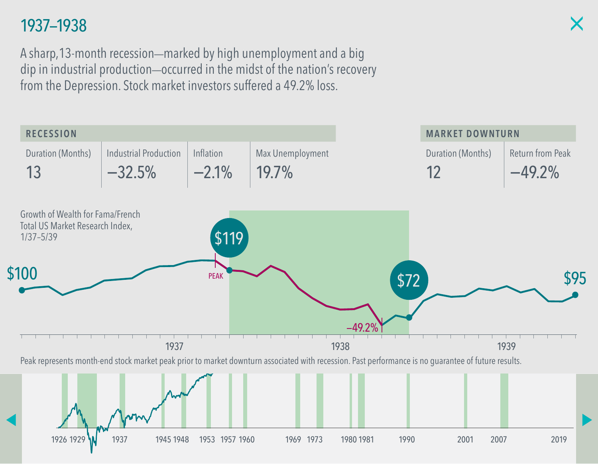A sharp, 13-month recession—marked by high unemployment and a big dip in industrial production—occurred in the midst of the nation's recovery from the Depression. Stock market investors suffered a 49.2% loss.

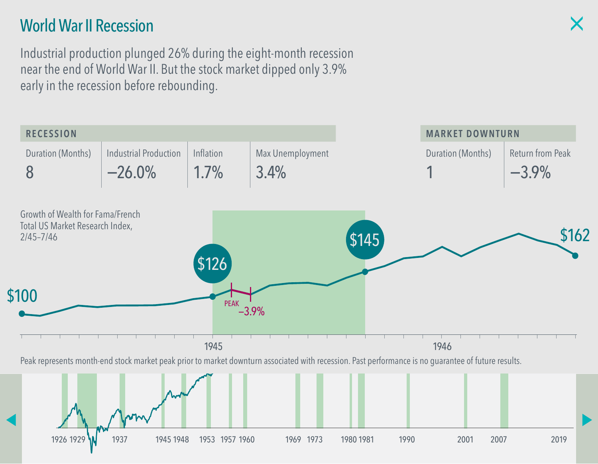### World War II Recession

Industrial production plunged 26% during the eight-month recession near the end of World War II. But the stock market dipped only 3.9% early in the recession before rebounding.

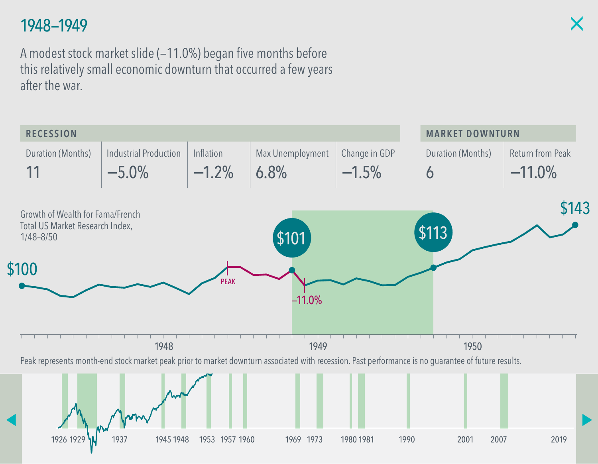A modest stock market slide (—11.0%) began five months before this relatively small economic downturn that occurred a few years after the war.

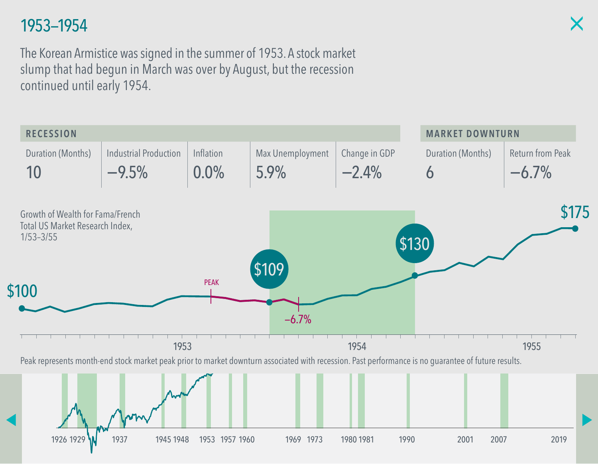The Korean Armistice was signed in the summer of 1953. A stock market slump that had begun in March was over by August, but the recession continued until early 1954.

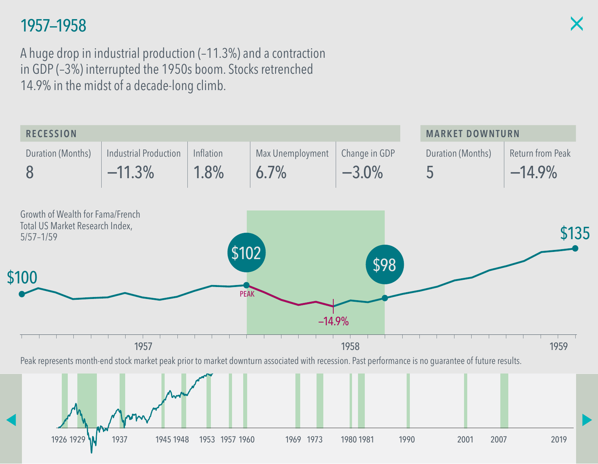A huge drop in industrial production (–11.3%) and a contraction in GDP (–3%) interrupted the 1950s boom. Stocks retrenched 14.9% in the midst of a decade-long climb.

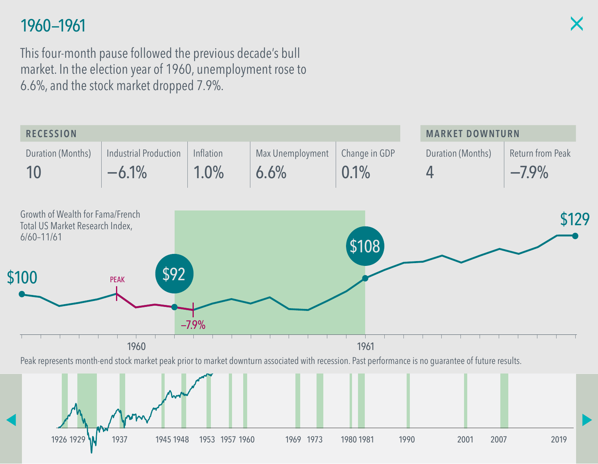This four-month pause followed the previous decade's bull market. In the election year of 1960, unemployment rose to 6.6%, and the stock market dropped 7.9%.

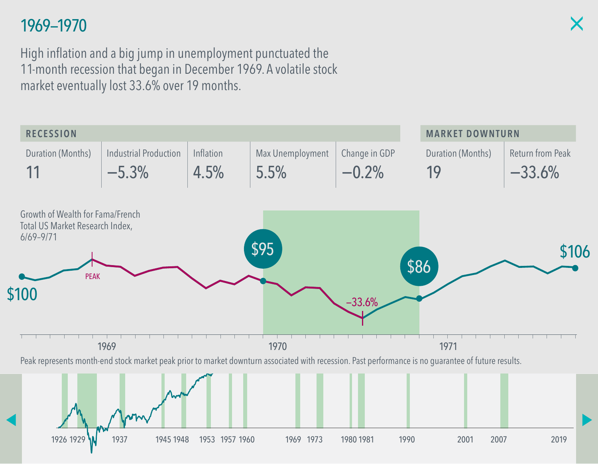High inflation and a big jump in unemployment punctuated the 11-month recession that began in December 1969. A volatile stock market eventually lost 33.6% over 19 months.

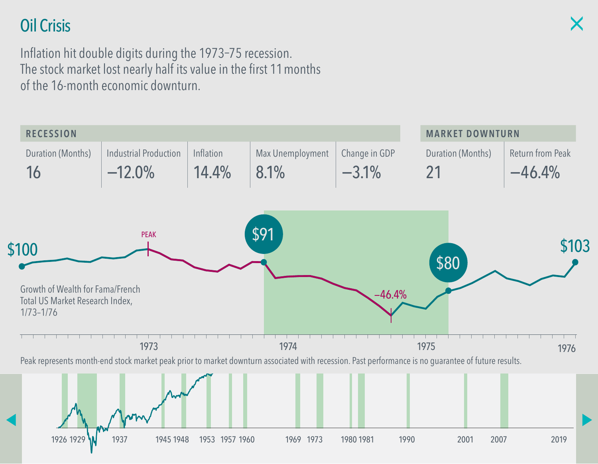# Oil Crisis

Inflation hit double digits during the 1973–75 recession. The stock market lost nearly half its value in the first 11 months of the 16-month economic downturn.

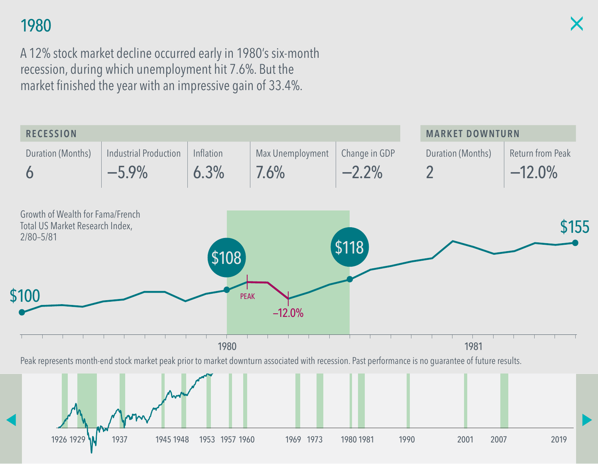# 1980

A 12% stock market decline occurred early in 1980's six-month recession, during which unemployment hit 7.6%. But the market finished the year with an impressive gain of 33.4%.

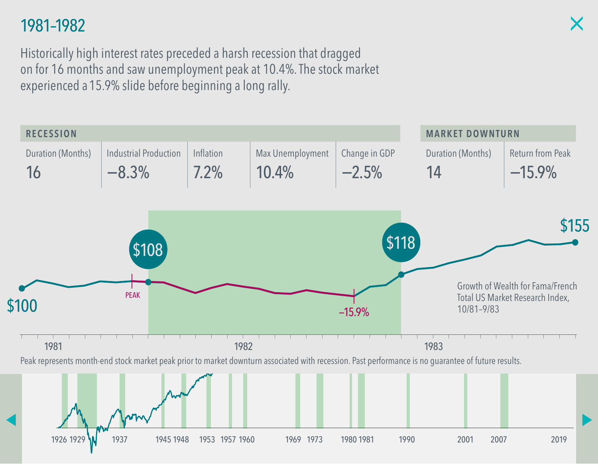### 1981–1982

Historically high interest rates preceded a harsh recession that dragged on for 16 months and saw unemployment peak at 10.4%. The stock market experienced a 15.9% slide before beginning a long rally.

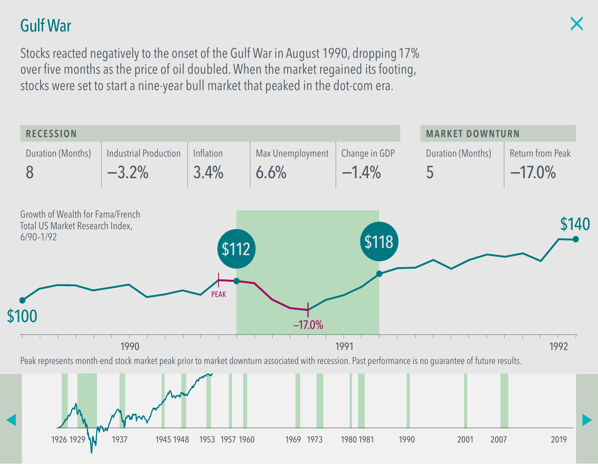# Gulf War

Stocks reacted negatively to the onset of the Gulf War in August 1990, dropping 17% over five months as the price of oil doubled. When the market regained its footing, stocks were set to start a nine-year bull market that peaked in the dot-com era.

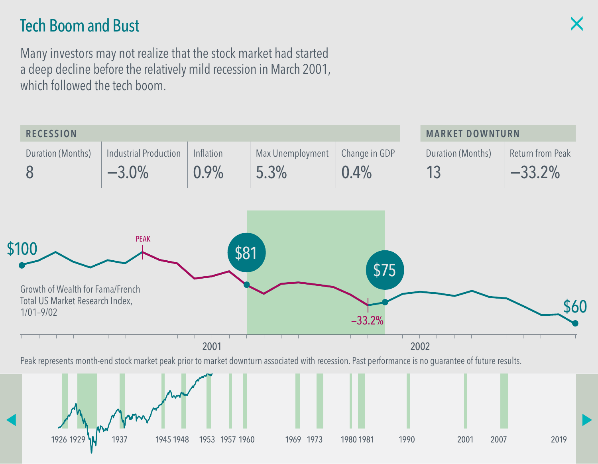### Tech Boom and Bust

Many investors may not realize that the stock market had started a deep decline before the relatively mild recession in March 2001, which followed the tech boom.

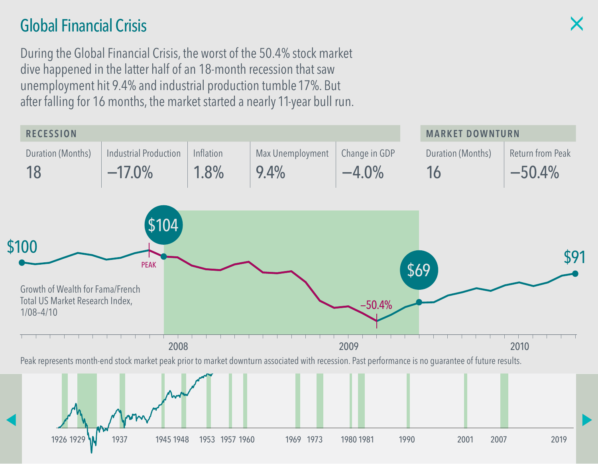# Global Financial Crisis

During the Global Financial Crisis, the worst of the 50.4% stock market dive happened in the latter half of an 18-month recession that saw unemployment hit 9.4% and industrial production tumble 17%. But after falling for 16 months, the market started a nearly 11-year bull run.

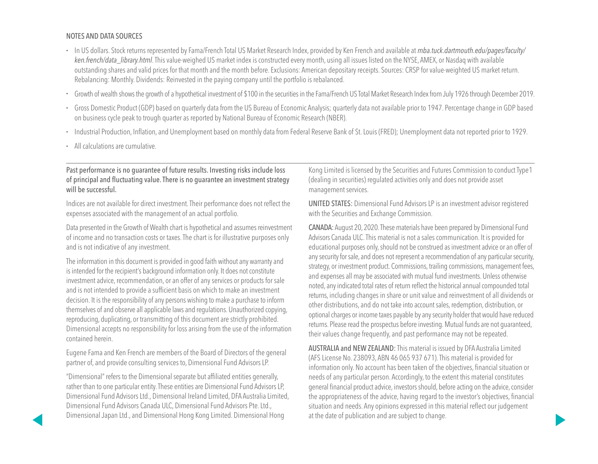#### NOTES AND DATA SOURCES

- In US dollars. Stock returns represented by Fama/French Total US Market Research Index, provided by Ken French and available at *[mba.tuck.dartmouth.edu/pages/faculty/](http://mba.tuck.dartmouth.edu/pages/faculty/ken.french/data_library.html) [ken.french/data\\_library.](http://mba.tuck.dartmouth.edu/pages/faculty/ken.french/data_library.html)html*. This value-weighed US market index is constructed every month, using all issues listed on the NYSE, AMEX, or Nasdaq with available outstanding shares and valid prices for that month and the month before. Exclusions: American depositary receipts. Sources: CRSP for value-weighted US market return. Rebalancing: Monthly. Dividends: Reinvested in the paying company until the portfolio is rebalanced.
- Growth of wealth shows the growth of a hypothetical investment of \$100 in the securities in the Fama/French US Total Market Research Index from July 1926 through December 2019.
- Gross Domestic Product (GDP) based on quarterly data from the US Bureau of Economic Analysis; quarterly data not available prior to 1947. Percentage change in GDP based on business cycle peak to trough quarter as reported by National Bureau of Economic Research (NBER).
- Industrial Production, Inflation, and Unemployment based on monthly data from Federal Reserve Bank of St. Louis (FRED); Unemployment data not reported prior to 1929.
- All calculations are cumulative.

#### Past performance is no guarantee of future results. Investing risks include loss of principal and fluctuating value. There is no guarantee an investment strategy will be successful.

Indices are not available for direct investment. Their performance does not reflect the expenses associated with the management of an actual portfolio.

Data presented in the Growth of Wealth chart is hypothetical and assumes reinvestment of income and no transaction costs or taxes. The chart is for illustrative purposes only and is not indicative of any investment.

The information in this document is provided in good faith without any warranty and is intended for the recipient's background information only. It does not constitute investment advice, recommendation, or an offer of any services or products for sale and is not intended to provide a sufficient basis on which to make an investment decision. It is the responsibility of any persons wishing to make a purchase to inform themselves of and observe all applicable laws and regulations. Unauthorized copying, reproducing, duplicating, or transmitting of this document are strictly prohibited. Dimensional accepts no responsibility for loss arising from the use of the information contained herein.

Eugene Fama and Ken French are members of the Board of Directors of the general partner of, and provide consulting services to, Dimensional Fund Advisors LP.

"Dimensional" refers to the Dimensional separate but affiliated entities generally, rather than to one particular entity. These entities are Dimensional Fund Advisors LP, Dimensional Fund Advisors Ltd., Dimensional Ireland Limited, DFA Australia Limited, Dimensional Fund Advisors Canada ULC, Dimensional Fund Advisors Pte. Ltd., Dimensional Japan Ltd., and Dimensional Hong Kong Limited. Dimensional Hong

Kong Limited is licensed by the Securities and Futures Commission to conduct Type 1 (dealing in securities) regulated activities only and does not provide asset management services.

UNITED STATES: Dimensional Fund Advisors LP is an investment advisor registered with the Securities and Exchange Commission.

CANADA: August 20, 2020. These materials have been prepared by Dimensional Fund Advisors Canada ULC. This material is not a sales communication. It is provided for educational purposes only, should not be construed as investment advice or an offer of any security for sale, and does not represent a recommendation of any particular security, strategy, or investment product. Commissions, trailing commissions, management fees, and expenses all may be associated with mutual fund investments. Unless otherwise noted, any indicated total rates of return reflect the historical annual compounded total returns, including changes in share or unit value and reinvestment of all dividends or other distributions, and do not take into account sales, redemption, distribution, or optional charges or income taxes payable by any security holder that would have reduced returns. Please read the prospectus before investing. Mutual funds are not guaranteed, their values change frequently, and past performance may not be repeated.

AUSTRALIA and NEW ZEALAND: This material is issued by DFA Australia Limited (AFS License No. 238093, ABN 46 065 937 671). This material is provided for information only. No account has been taken of the objectives, financial situation or needs of any particular person. Accordingly, to the extent this material constitutes general financial product advice, investors should, before acting on the advice, consider the appropriateness of the advice, having regard to the investor's objectives, financial situation and needs. Any opinions expressed in this material reflect our judgement at the date of publication and are subject to change.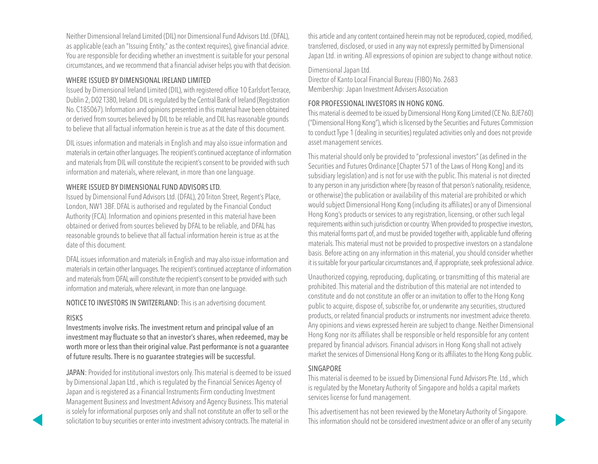Neither Dimensional Ireland Limited (DIL) nor Dimensional Fund Advisors Ltd. (DFAL), as applicable (each an "Issuing Entity," as the context requires), give financial advice. You are responsible for deciding whether an investment is suitable for your personal circumstances, and we recommend that a financial adviser helps you with that decision.

#### WHERE ISSUED BY DIMENSIONAL IRELAND LIMITED

Issued by Dimensional Ireland Limited (DIL), with registered office 10 Earlsfort Terrace, Dublin 2, D02 T380, Ireland. DIL is regulated by the Central Bank of Ireland (Registration No. C185067). Information and opinions presented in this material have been obtained or derived from sources believed by DIL to be reliable, and DIL has reasonable grounds to believe that all factual information herein is true as at the date of this document.

DIL issues information and materials in English and may also issue information and materials in certain other languages. The recipient's continued acceptance of information and materials from DIL will constitute the recipient's consent to be provided with such information and materials, where relevant, in more than one language.

#### WHERE ISSUED BY DIMENSIONAL FUND ADVISORS LTD.

Issued by Dimensional Fund Advisors Ltd. (DFAL), 20 Triton Street, Regent's Place, London, NW1 3BF. DFAL is authorised and regulated by the Financial Conduct Authority (FCA). Information and opinions presented in this material have been obtained or derived from sources believed by DFAL to be reliable, and DFAL has reasonable grounds to believe that all factual information herein is true as at the date of this document.

DFAL issues information and materials in English and may also issue information and materials in certain other languages. The recipient's continued acceptance of information and materials from DFAL will constitute the recipient's consent to be provided with such information and materials, where relevant, in more than one language.

NOTICE TO INVESTORS IN SWITZERLAND: This is an advertising document.

#### RISKS

Investments involve risks. The investment return and principal value of an investment may fluctuate so that an investor's shares, when redeemed, may be worth more or less than their original value. Past performance is not a guarantee of future results. There is no guarantee strategies will be successful.

JAPAN: Provided for institutional investors only. This material is deemed to be issued by Dimensional Japan Ltd., which is regulated by the Financial Services Agency of Japan and is registered as a Financial Instruments Firm conducting Investment Management Business and Investment Advisory and Agency Business. This material is solely for informational purposes only and shall not constitute an offer to sell or the solicitation to buy securities or enter into investment advisory contracts. The material in

this article and any content contained herein may not be reproduced, copied, modified, transferred, disclosed, or used in any way not expressly permitted by Dimensional Japan Ltd. in writing. All expressions of opinion are subject to change without notice.

Dimensional Japan Ltd.

Director of Kanto Local Financial Bureau (FIBO) No. 2683 Membership: Japan Investment Advisers Association

#### FOR PROFESSIONAL INVESTORS IN HONG KONG.

This material is deemed to be issued by Dimensional Hong Kong Limited (CE No. BJE760) ("Dimensional Hong Kong"), which is licensed by the Securities and Futures Commission to conduct Type 1 (dealing in securities) regulated activities only and does not provide asset management services.

This material should only be provided to "professional investors" (as defined in the Securities and Futures Ordinance [Chapter 571 of the Laws of Hong Kong] and its subsidiary legislation) and is not for use with the public. This material is not directed to any person in any jurisdiction where (by reason of that person's nationality, residence, or otherwise) the publication or availability of this material are prohibited or which would subject Dimensional Hong Kong (including its affiliates) or any of Dimensional Hong Kong's products or services to any registration, licensing, or other such legal requirements within such jurisdiction or country. When provided to prospective investors, this material forms part of, and must be provided together with, applicable fund offering materials. This material must not be provided to prospective investors on a standalone basis. Before acting on any information in this material, you should consider whether it is suitable for your particular circumstances and, if appropriate, seek professional advice.

Unauthorized copying, reproducing, duplicating, or transmitting of this material are prohibited. This material and the distribution of this material are not intended to constitute and do not constitute an offer or an invitation to offer to the Hong Kong public to acquire, dispose of, subscribe for, or underwrite any securities, structured products, or related financial products or instruments nor investment advice thereto. Any opinions and views expressed herein are subject to change. Neither Dimensional Hong Kong nor its affiliates shall be responsible or held responsible for any content prepared by financial advisors. Financial advisors in Hong Kong shall not actively market the services of Dimensional Hong Kong or its affiliates to the Hong Kong public.

#### SINGAPORE

This material is deemed to be issued by Dimensional Fund Advisors Pte. Ltd., which is regulated by the Monetary Authority of Singapore and holds a capital markets services license for fund management.

This advertisement has not been reviewed by the Monetary Authority of Singapore. This information should not be considered investment advice or an offer of any security